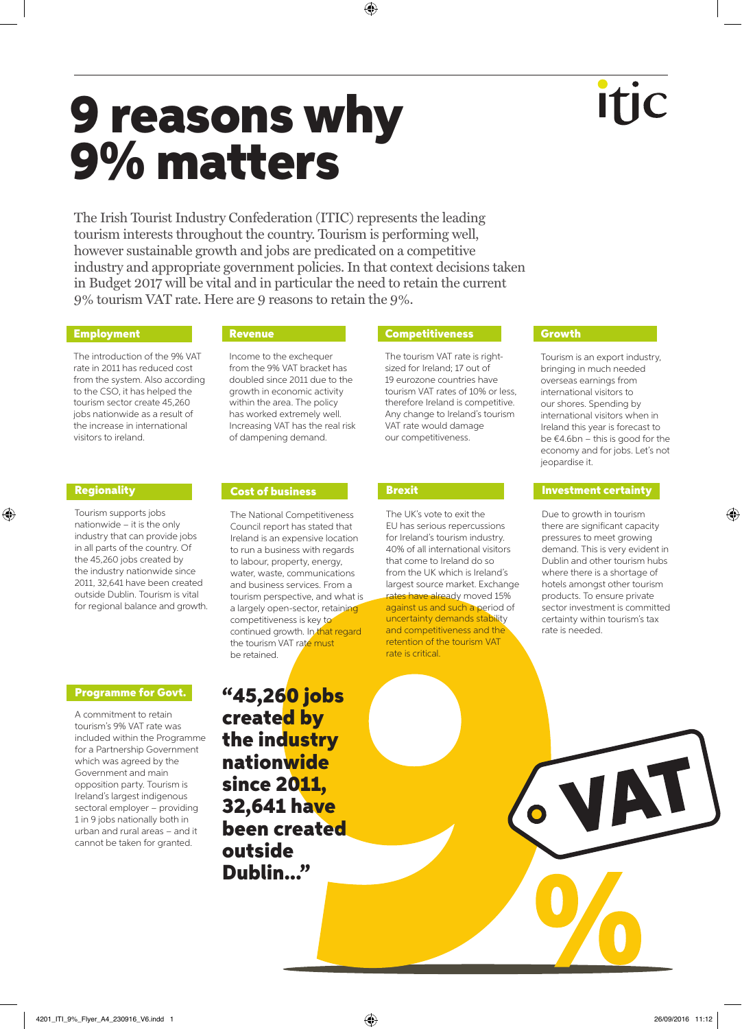The Irish Tourist Industry Confederation (ITIC) represents the leading tourism interests throughout the country. Tourism is performing well, however sustainable growth and jobs are predicated on a competitive industry and appropriate government policies. In that context decisions taken in Budget 2017 will be vital and in particular the need to retain the current 9% tourism VAT rate. Here are 9 reasons to retain the 9%.

## **Employment**

The introduction of the 9% VAT rate in 2011 has reduced cost from the system. Also according to the CSO, it has helped the tourism sector create 45,260 jobs nationwide as a result of the increase in international visitors to ireland.

### Regionality

⊕

Tourism supports jobs nationwide – it is the only industry that can provide jobs in all parts of the country. Of the 45,260 jobs created by the industry nationwide since 2011, 32,641 have been created outside Dublin. Tourism is vital for regional balance and growth.

### Programme for Govt.

A commitment to retain tourism's 9% VAT rate was included within the Programme for a Partnership Government which was agreed by the Government and main opposition party. Tourism is Ireland's largest indigenous sectoral employer – providing 1 in 9 jobs nationally both in urban and rural areas – and it cannot be taken for granted.

Revenue

Income to the exchequer from the 9% VAT bracket has doubled since 2011 due to the growth in economic activity within the area. The policy has worked extremely well. Increasing VAT has the real risk of dampening demand.

# Cost of business

The National Competitiveness Council report has stated that Ireland is an expensive location to run a business with regards to labour, property, energy, water, waste, communications and business services. From a tourism perspective, and what is a largely open-sector, retaining competitiveness is key to continued growth. In that regard the tourism VAT rate must be retained.

"45,260 jobs created by the industry nationwide since 2011, 32,641 have been created outside Dublin..."

## **Competitiveness**

The tourism VAT rate is rightsized for Ireland; 17 out of 19 eurozone countries have tourism VAT rates of 10% or less, therefore Ireland is competitive. Any change to Ireland's tourism VAT rate would damage our competitiveness.

### Brexit

The UK's vote to exit the EU has serious repercussions for Ireland's tourism industry. 40% of all international visitors that come to Ireland do so from the UK which is Ireland's largest source market. Exchange rates have already moved 15% against us and such a period of uncertainty demands stability and competitiveness and the retention of the tourism VAT rate is critical.

## **Growth**

Tourism is an export industry, bringing in much needed overseas earnings from international visitors to our shores. Spending by international visitors when in Ireland this year is forecast to be €4.6bn – this is good for the economy and for jobs. Let's not jeopardise it.

#### Investment certainty

Due to growth in tourism there are significant capacity pressures to meet growing demand. This is very evident in Dublin and other tourism hubs where there is a shortage of hotels amongst other tourism products. To ensure private sector investment is committed certainty within tourism's tax rate is needed.

⊕